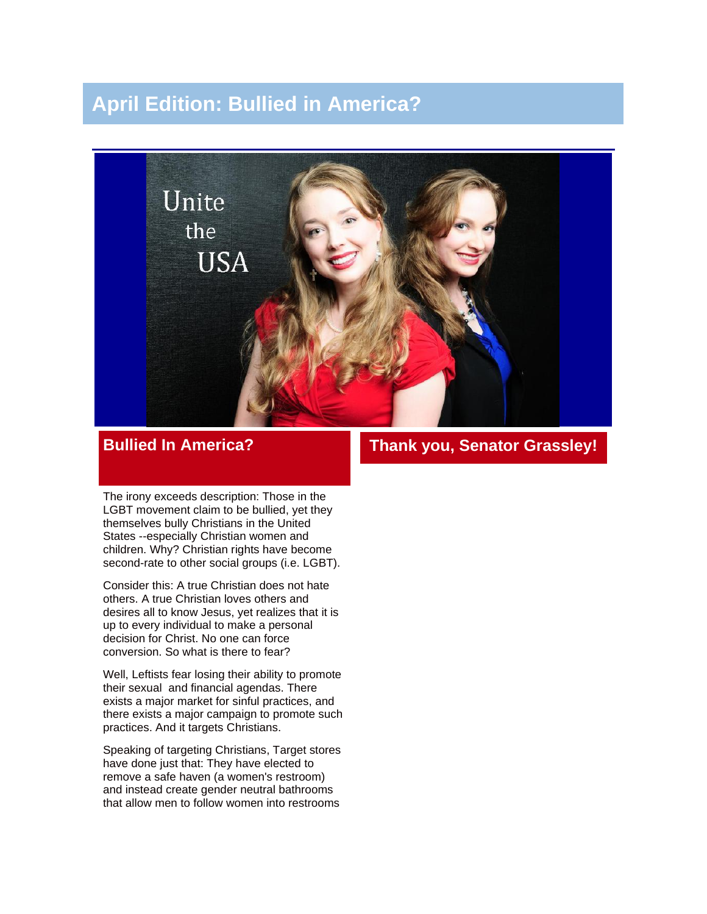# **April Edition: Bullied in America?**



## **Bullied In America?**

#### **Thank you, Senator Grassley!**

The irony exceeds description: Those in the LGBT movement claim to be bullied, yet they themselves bully Christians in the United States --especially Christian women and children. Why? Christian rights have become second-rate to other social groups (i.e. LGBT).

Consider this: A true Christian does not hate others. A true Christian loves others and desires all to know Jesus, yet realizes that it is up to every individual to make a personal decision for Christ. No one can force conversion. So what is there to fear?

Well, Leftists fear losing their ability to promote their sexual and financial agendas. There exists a major market for sinful practices, and there exists a major campaign to promote such practices. And it targets Christians.

Speaking of targeting Christians, Target stores have done just that: They have elected to remove a safe haven (a women's restroom) and instead create gender neutral bathrooms that allow men to follow women into restrooms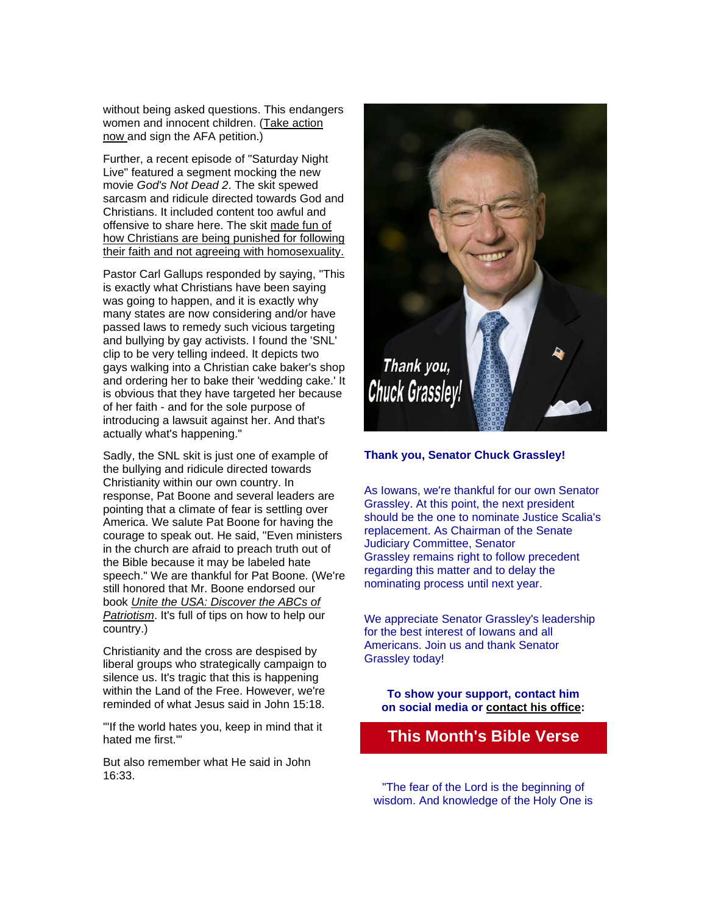without being asked questions. This endangers women and innocent children. [\(Take action](https://www.afa.net/action-alerts/sign-the-boycott-target-pledge/)  [now](https://www.afa.net/action-alerts/sign-the-boycott-target-pledge/) and sign the AFA petition.)

Further, a recent episode of "Saturday Night Live" featured a segment mocking the new movie *God's Not Dead 2*. The skit spewed sarcasm and ridicule directed towards God and Christians. It included content too awful and offensive to share here. The skit [made fun of](http://r20.rs6.net/tn.jsp?e=001xrR1t-MDBVvnmNk2FB9CCDTp3smo4EjWfpKCXj9o3FSiQC8oBHlln2HgHSlqliCqJMB397lUioaOCoWf_xqDVWBm8tMHXNL6VWJEEGEbKfh5PSxDmCHf8LTt2yIiRA3Ndb_Y-INbBS70nygDY_ghfmG_Gexdxbzi-x9oB57CS0-wNrgQq4qo2Q==)  [how Christians are being punished for following](http://r20.rs6.net/tn.jsp?e=001xrR1t-MDBVvnmNk2FB9CCDTp3smo4EjWfpKCXj9o3FSiQC8oBHlln2HgHSlqliCqJMB397lUioaOCoWf_xqDVWBm8tMHXNL6VWJEEGEbKfh5PSxDmCHf8LTt2yIiRA3Ndb_Y-INbBS70nygDY_ghfmG_Gexdxbzi-x9oB57CS0-wNrgQq4qo2Q==)  [their faith and not agreeing with homosexuality.](http://r20.rs6.net/tn.jsp?e=001xrR1t-MDBVvnmNk2FB9CCDTp3smo4EjWfpKCXj9o3FSiQC8oBHlln2HgHSlqliCqJMB397lUioaOCoWf_xqDVWBm8tMHXNL6VWJEEGEbKfh5PSxDmCHf8LTt2yIiRA3Ndb_Y-INbBS70nygDY_ghfmG_Gexdxbzi-x9oB57CS0-wNrgQq4qo2Q==)

Pastor Carl Gallups responded by saying, "This is exactly what Christians have been saying was going to happen, and it is exactly why many states are now considering and/or have passed laws to remedy such vicious targeting and bullying by gay activists. I found the 'SNL' clip to be very telling indeed. It depicts two gays walking into a Christian cake baker's shop and ordering her to bake their 'wedding cake.' It is obvious that they have targeted her because of her faith - and for the sole purpose of introducing a lawsuit against her. And that's actually what's happening."

Sadly, the SNL skit is just one of example of the bullying and ridicule directed towards Christianity within our own country. In response, Pat Boone and several leaders are pointing that a climate of fear is settling over America. We salute Pat Boone for having the courage to speak out. He said, "Even ministers in the church are afraid to preach truth out of the Bible because it may be labeled hate speech." We are thankful for Pat Boone. (We're still honored that Mr. Boone endorsed our book *[Unite the USA: Discover the ABCs of](http://unitetheusa.org/id56.html)  [Patriotism](http://unitetheusa.org/id56.html)*. It's full of tips on how to help our country.)

Christianity and the cross are despised by liberal groups who strategically campaign to silence us. It's tragic that this is happening within the Land of the Free. However, we're reminded of what Jesus said in John 15:18.

"'If the world hates you, keep in mind that it hated me first."

But also remember what He said in John 16:33.



#### **Thank you, Senator Chuck Grassley!**

As Iowans, we're thankful for our own Senator Grassley. At this point, the next president should be the one to nominate Justice Scalia's replacement. As Chairman of the Senate Judiciary Committee, Senator Grassley remains right to follow precedent regarding this matter and to delay the nominating process until next year.

We appreciate Senator Grassley's leadership for the best interest of Iowans and all Americans. Join us and thank Senator Grassley today!

**To show your support, contact him on social media or [contact his office:](http://www.grassley.senate.gov/contact)**

#### **This Month's Bible Verse**

"The fear of the Lord is the beginning of wisdom. And knowledge of the Holy One is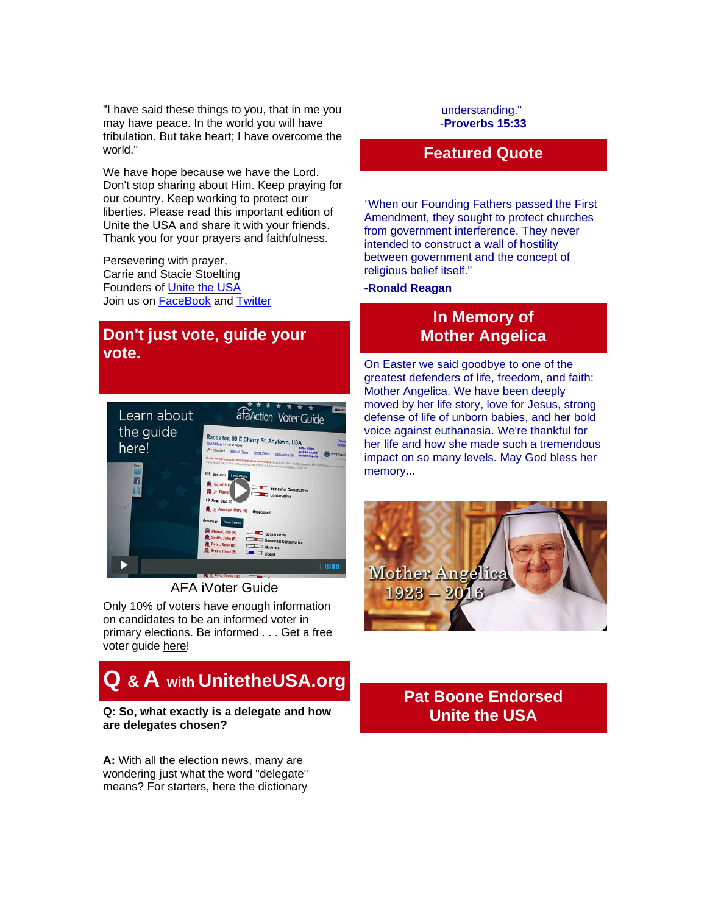"I have said these things to you, that in me you may have peace. In the world you will have tribulation. But take heart; I have overcome the world."

We have hope because we have the Lord. Don't stop sharing about Him. Keep praying for our country. Keep working to protect our liberties. Please read this important edition of Unite the USA and share it with your friends. Thank you for your prayers and faithfulness.

Persevering with prayer, Carrie and Stacie Stoelting Founders of [Unite the USA](http://unitetheusa.org/index.html) Join us on [FaceBook](https://www.facebook.com/Unite-the-USA-200053406703556/?fref=nf) and [Twitter](https://twitter.com/UnitetheUSA1)

## **Don't just vote, guide your vote.**



AFA iVoter Guide

Only 10% of voters have enough information on candidates to be an informed voter in primary elections. Be informed . . . Get a free voter guide [here!](https://home.ivoterguide.com/?partner=IVG)

# **Q & A with UnitetheUSA.org**

**Q: So, what exactly is a delegate and how are delegates chosen?**

**A:** With all the election news, many are wondering just what the word "delegate" means? For starters, here the dictionary

#### understanding." -**Proverbs 15:33**

#### **Featured Quote**

*"*When our Founding Fathers passed the First Amendment, they sought to protect churches from government interference. They never intended to construct a wall of hostility between government and the concept of religious belief itself."

#### **-Ronald Reagan**

#### **In Memory of Mother Angelica**

On Easter we said goodbye to one of the greatest defenders of life, freedom, and faith: Mother Angelica. We have been deeply moved by her life story, love for Jesus, strong [de](http://r20.rs6.net/tn.jsp?e=001xrR1t-MDBVvnmNk2FB9CCDTp3smo4EjWfpKCXj9o3FSiQC8oBHlln2HgHSlqliCqBfNU_fdgMGx__ALBlE4r2MkDIpaL4vtaxhGpuuF1egGnZ9xY_lR0Uw==)fense of life of unborn babies, and her bold voice against euthanasia. We're thankful for her life and how she made such a tremendous impact on so many levels. May God bless her memory...



**Pat Boone Endorsed Unite the USA**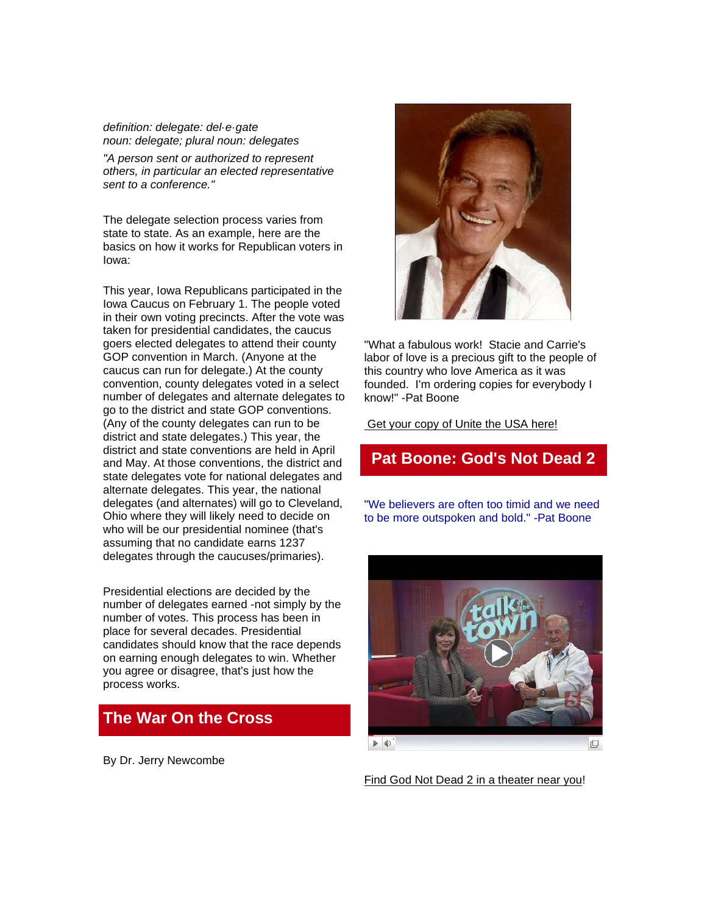*definition: delegate: del·e·gate noun: delegate; plural noun: delegates*

*"A person sent or authorized to represent others, in particular an elected representative sent to a conference."*

The delegate selection process varies from state to state. As an example, here are the basics on how it works for Republican voters in Iowa:

This year, Iowa Republicans participated in the Iowa Caucus on February 1. The people voted in their own voting precincts. After the vote was taken for presidential candidates, the caucus goers elected delegates to attend their county GOP convention in March. (Anyone at the caucus can run for delegate.) At the county convention, county delegates voted in a select number of delegates and alternate delegates to go to the district and state GOP conventions. (Any of the county delegates can run to be district and state delegates.) This year, the district and state conventions are held in April and May. At those conventions, the district and state delegates vote for national delegates and alternate delegates. This year, the national delegates (and alternates) will go to Cleveland, Ohio where they will likely need to decide on who will be our presidential nominee (that's assuming that no candidate earns 1237 delegates through the caucuses/primaries).

Presidential elections are decided by the number of delegates earned -not simply by the number of votes. This process has been in place for several decades. Presidential candidates should know that the race depends on earning enough delegates to win. Whether you agree or disagree, that's just how the process works.



By Dr. Jerry Newcombe



"What a fabulous work! Stacie and Carrie's labor of love is a precious gift to the people of this country who love America as it was founded. I'm ordering copies for everybody I know!" -Pat Boone

[Get your copy of Unite the USA here!](http://unitetheusa.org/id56.html)

#### **Pat Boone: God's Not Dead 2**

"We believers are often too timid and we need to be more outspoken and bold." -Pat Boone



[Find God Not Dead 2 in a theater near you!](http://godsnotdeadthemovie.com/)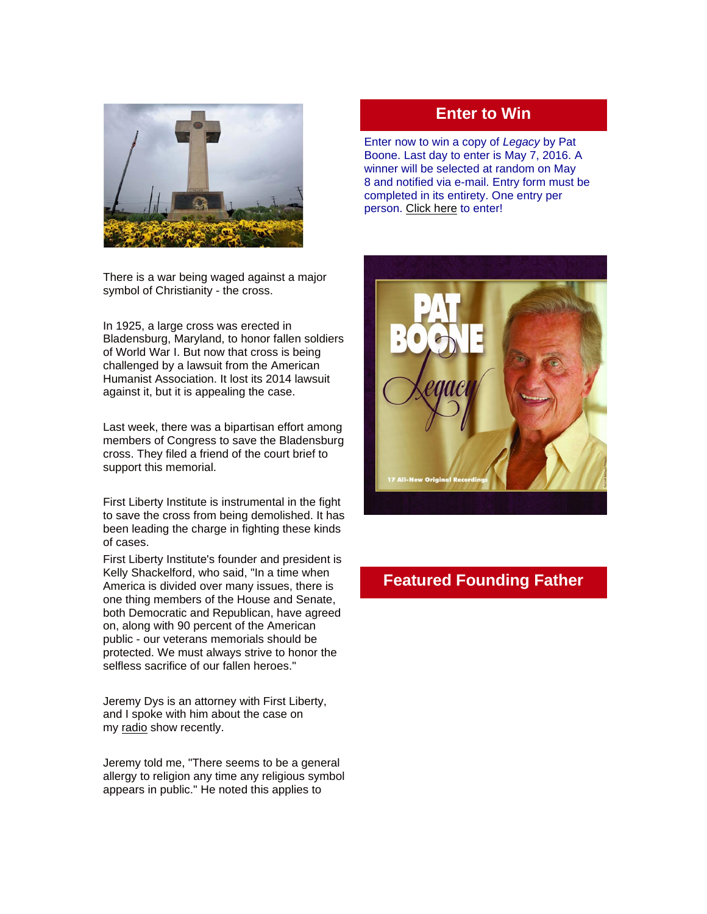

There is a war being waged against a major symbol of Christianity - the cross.

In 1925, a large cross was erected in Bladensburg, Maryland, to honor fallen soldiers of World War I. But now that cross is being challenged by a lawsuit from the American Humanist Association. It lost its 2014 lawsuit against it, but it is appealing the case.

Last week, there was a bipartisan effort among members of Congress to save the Bladensburg cross. They filed a friend of the court brief to support this memorial.

First Liberty Institute is instrumental in the fight to save the cross from being demolished. It has been leading the charge in fighting these kinds of cases.

First Liberty Institute's founder and president is Kelly Shackelford, who said, "In a time when America is divided over many issues, there is one thing members of the House and Senate, both Democratic and Republican, have agreed on, along with 90 percent of the American public - our veterans memorials should be protected. We must always strive to honor the selfless sacrifice of our fallen heroes."

Jeremy Dys is an attorney with First Liberty, and I spoke with him about the case on my [radio](http://www.jerrynewcombe.com/vocal-point-jeremy-dys-3/) show recently.

Jeremy told me, "There seems to be a general allergy to religion any time any religious symbol appears in public." He noted this applies to

#### **Enter to Win**

Enter now to win a copy of *Legacy* by Pat Boone. Last day to enter is May 7, 2016. A winner will be selected at random on May 8 and notified via e-mail. Entry form must be completed in its entirety. One entry per person. [Click here](http://unitetheusa.org/id143.html) to enter!



### **Featured Founding Father**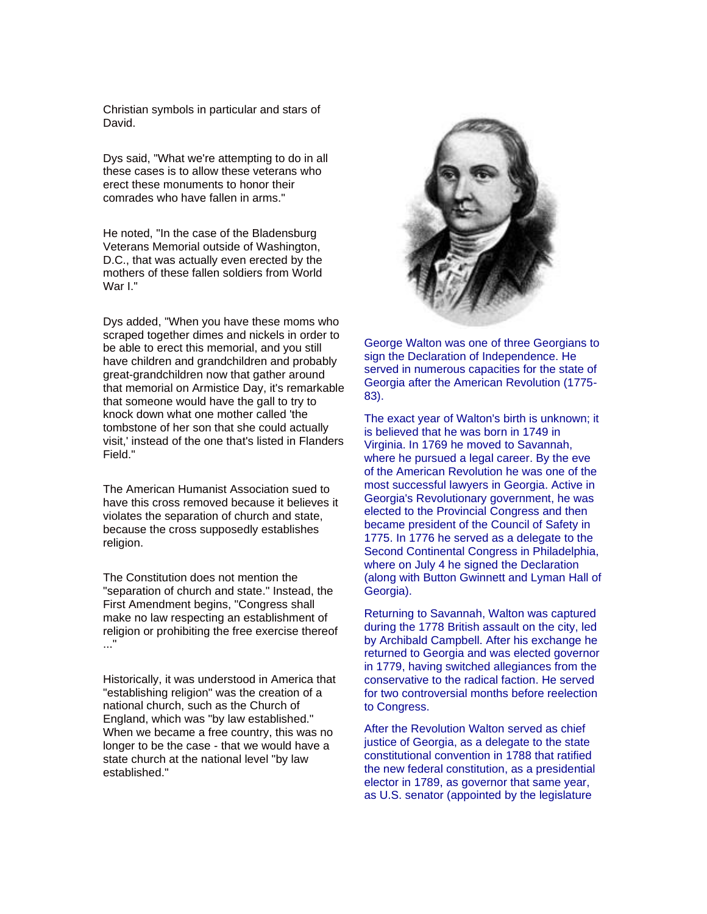Christian symbols in particular and stars of David.

Dys said, "What we're attempting to do in all these cases is to allow these veterans who erect these monuments to honor their comrades who have fallen in arms."

He noted, "In the case of the Bladensburg Veterans Memorial outside of Washington, D.C., that was actually even erected by the mothers of these fallen soldiers from World War I."

Dys added, "When you have these moms who scraped together dimes and nickels in order to be able to erect this memorial, and you still have children and grandchildren and probably great-grandchildren now that gather around that memorial on Armistice Day, it's remarkable that someone would have the gall to try to knock down what one mother called 'the tombstone of her son that she could actually visit,' instead of the one that's listed in Flanders Field."

The American Humanist Association sued to have this cross removed because it believes it violates the separation of church and state, because the cross supposedly establishes religion.

The Constitution does not mention the "separation of church and state." Instead, the First Amendment begins, "Congress shall make no law respecting an establishment of religion or prohibiting the free exercise thereof ..."

Historically, it was understood in America that "establishing religion" was the creation of a national church, such as the Church of England, which was "by law established." When we became a free country, this was no longer to be the case - that we would have a state church at the national level "by law established."



George Walton was one of three Georgians to sign the Declaration of Independence. He served in numerous capacities for the state of Georgia after the American Revolution (1775- 83).

The exact year of Walton's birth is unknown; it is believed that he was born in 1749 in Virginia. In 1769 he moved to Savannah, where he pursued a legal career. By the eve of the American Revolution he was one of the most successful lawyers in Georgia. Active in Georgia's Revolutionary government, he was elected to the Provincial Congress and then became president of the Council of Safety in 1775. In 1776 he served as a delegate to the Second Continental Congress in Philadelphia, where on July 4 he signed the Declaration (along with Button Gwinnett and Lyman Hall of Georgia).

Returning to Savannah, Walton was captured during the 1778 British assault on the city, led by Archibald Campbell. After his exchange he returned to Georgia and was elected governor in 1779, having switched allegiances from the conservative to the radical faction. He served for two controversial months before reelection to Congress.

After the Revolution Walton served as chief justice of Georgia, as a delegate to the state constitutional convention in 1788 that ratified the new federal constitution, as a presidential elector in 1789, as governor that same year, as U.S. senator (appointed by the legislature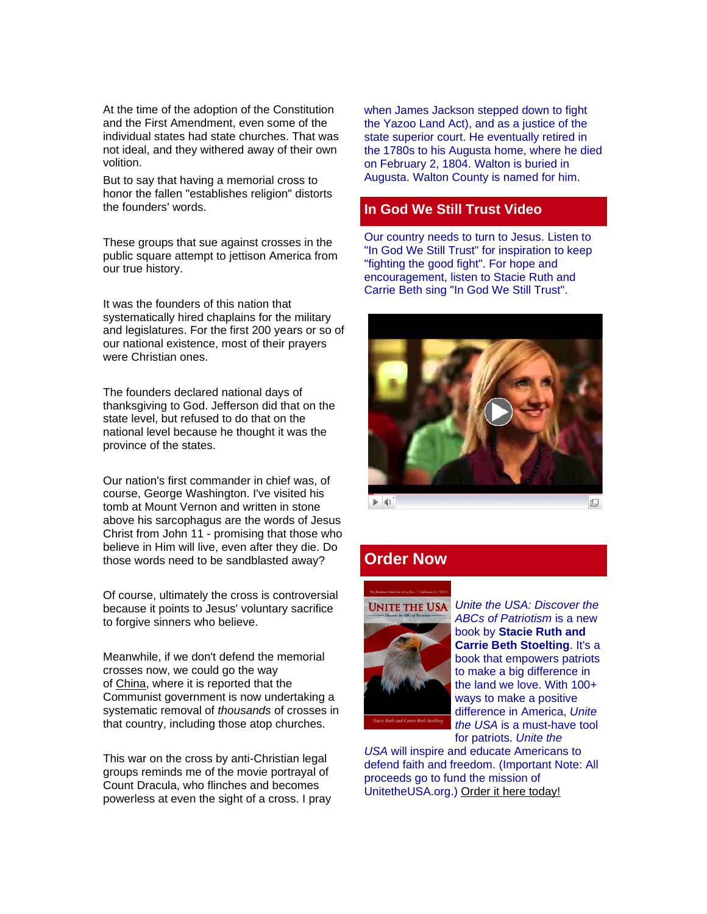At the time of the adoption of the Constitution and the First Amendment, even some of the individual states had state churches. That was not ideal, and they withered away of their own volition.

But to say that having a memorial cross to honor the fallen "establishes religion" distorts the founders' words.

These groups that sue against crosses in the public square attempt to jettison America from our true history.

It was the founders of this nation that systematically hired chaplains for the military and legislatures. For the first 200 years or so of our national existence, most of their prayers were Christian ones.

The founders declared national days of thanksgiving to God. Jefferson did that on the state level, but refused to do that on the national level because he thought it was the province of the states.

Our nation's first commander in chief was, of course, George Washington. I've visited his tomb at Mount Vernon and written in stone above his sarcophagus are the words of Jesus Christ from John 11 - promising that those who believe in Him will live, even after they die. Do those words need to be sandblasted away?

Of course, ultimately the cross is controversial because it points to Jesus' voluntary sacrifice to forgive sinners who believe.

Meanwhile, if we don't defend the memorial crosses now, we could go the way of [China,](http://www.express.co.uk/news/world/659545/Horror-as-China-tears-down-thousands-of-crucifixes-in-crude-bid-to-eradicate-Christianity) where it is reported that the Communist government is now undertaking a systematic removal of *thousands* of crosses in that country, including those atop churches.

This war on the cross by anti-Christian legal groups reminds me of the movie portrayal of Count Dracula, who flinches and becomes powerless at even the sight of a cross. I pray when James Jackson stepped down to fight the Yazoo Land Act), and as a justice of the state superior court. He eventually retired in the 1780s to his Augusta home, where he died on February 2, 1804. Walton is buried in Augusta. Walton County is named for him.

#### **In God We Still Trust Video**

Our country needs to turn to Jesus. Listen to "In God We Still Trust" for inspiration to keep "fighting the good fight". For hope and encouragement, listen to Stacie Ruth and Carrie Beth sing "In God We Still Trust".



**Order Now**



*Unite the USA: Discover the ABCs of Patriotism* is a new book by **Stacie Ruth and Carrie Beth Stoelting**. It's a book that empowers patriots to make a big difference in the land we love. With 100+ ways to make a positive difference in America, *Unite the USA* is a must-have tool for patriots. *Unite the* 

*USA* will inspire and educate Americans to defend faith and freedom. (Important Note: All proceeds go to fund the mission of UnitetheUSA.org.) [Order it here today!](http://unitetheusa.org/id56.html)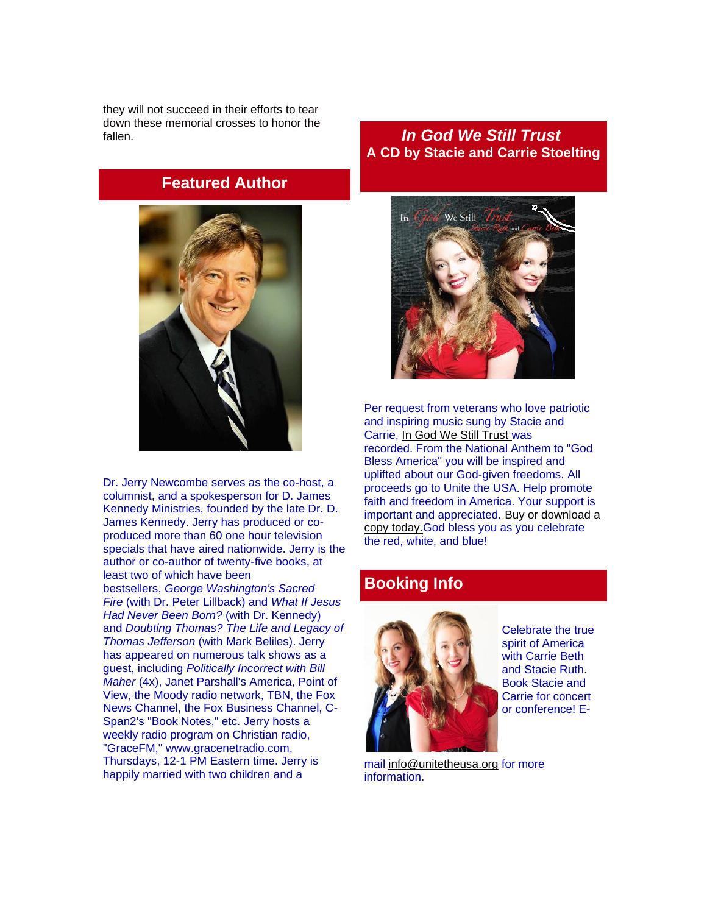they will not succeed in their efforts to tear down these memorial crosses to honor the fallen.

#### **Featured Author**



Dr. Jerry Newcombe serves as the co-host, a columnist, and a spokesperson for D. James Kennedy Ministries, founded by the late Dr. D. James Kennedy. Jerry has produced or coproduced more than 60 one hour television specials that have aired nationwide. Jerry is the author or co-author of twenty-five books, at least two of which have been bestsellers, *George Washington's Sacred Fire* (with Dr. Peter Lillback) and *What If Jesus Had Never Been Born?* (with Dr. Kennedy) and *Doubting Thomas? The Life and Legacy of Thomas Jefferson* (with Mark Beliles). Jerry has appeared on numerous talk shows as a guest, including *Politically Incorrect with Bill Maher* (4x), Janet Parshall's America, Point of View, the Moody radio network, TBN, the Fox News Channel, the Fox Business Channel, C-Span2's "Book Notes," etc. Jerry hosts a weekly radio program on Christian radio, "GraceFM," www.gracenetradio.com, Thursdays, 12-1 PM Eastern time. Jerry is happily married with two children and a

#### *In God We Still Trust* **A CD by Stacie and Carrie Stoelting**



Per request from veterans who love patriotic and inspiring music sung by Stacie and Carrie, [In God We Still Trust](http://unitetheusa.org/id56.html) was recorded. From the National Anthem to "God Bless America" you will be inspired and uplifted about our God-given freedoms. All proceeds go to Unite the USA. Help promote faith and freedom in America. Your support is important and appreciated. [Buy or download a](http://unitetheusa.org/id56.html)  [copy today.G](http://unitetheusa.org/id56.html)od bless you as you celebrate the red, white, and blue!

### **Booking Info**



Celebrate the true spirit of America with Carrie Beth and Stacie Ruth. Book Stacie and Carrie for concert or conference! E-

mail [info@unitetheusa.org](mailto:info@unitetheusa.org) for more information.